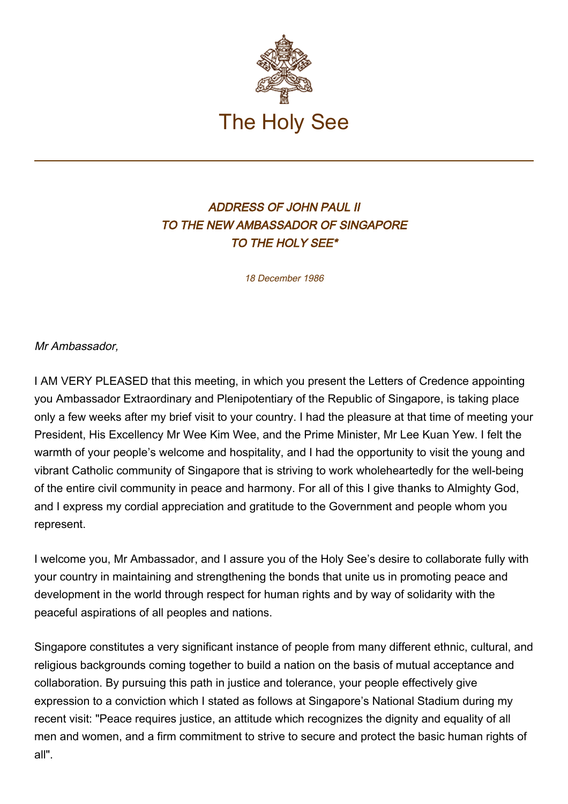

## ADDRESS OF JOHN PAUL II TO THE NEW AMBASSADOR OF SINGAPORE TO THE HOLY SEE\*

18 December 1986

Mr Ambassador,

I AM VERY PLEASED that this meeting, in which you present the Letters of Credence appointing you Ambassador Extraordinary and Plenipotentiary of the Republic of Singapore, is taking place only a few weeks after my brief visit to your country. I had the pleasure at that time of meeting your President, His Excellency Mr Wee Kim Wee, and the Prime Minister, Mr Lee Kuan Yew. I felt the warmth of your people's welcome and hospitality, and I had the opportunity to visit the young and vibrant Catholic community of Singapore that is striving to work wholeheartedly for the well-being of the entire civil community in peace and harmony. For all of this I give thanks to Almighty God, and I express my cordial appreciation and gratitude to the Government and people whom you represent.

I welcome you, Mr Ambassador, and I assure you of the Holy See's desire to collaborate fully with your country in maintaining and strengthening the bonds that unite us in promoting peace and development in the world through respect for human rights and by way of solidarity with the peaceful aspirations of all peoples and nations.

Singapore constitutes a very significant instance of people from many different ethnic, cultural, and religious backgrounds coming together to build a nation on the basis of mutual acceptance and collaboration. By pursuing this path in justice and tolerance, your people effectively give expression to a conviction which I stated as follows at Singapore's National Stadium during my recent visit: "Peace requires justice, an attitude which recognizes the dignity and equality of all men and women, and a firm commitment to strive to secure and protect the basic human rights of all".